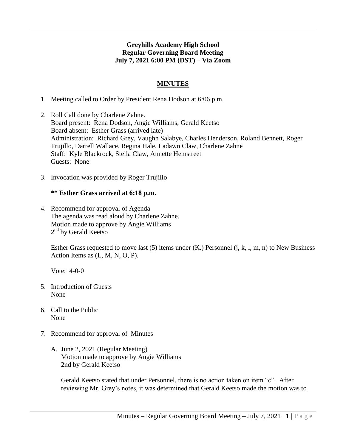# **Greyhills Academy High School Regular Governing Board Meeting July 7, 2021 6:00 PM (DST) – Via Zoom**

# **MINUTES**

- 1. Meeting called to Order by President Rena Dodson at 6:06 p.m.
- 2. Roll Call done by Charlene Zahne. Board present: Rena Dodson, Angie Williams, Gerald Keetso Board absent: Esther Grass (arrived late) Administration: Richard Grey, Vaughn Salabye, Charles Henderson, Roland Bennett, Roger Trujillo, Darrell Wallace, Regina Hale, Ladawn Claw, Charlene Zahne Staff: Kyle Blackrock, Stella Claw, Annette Hemstreet Guests: None
- 3. Invocation was provided by Roger Trujillo

### **\*\* Esther Grass arrived at 6:18 p.m.**

4. Recommend for approval of Agenda The agenda was read aloud by Charlene Zahne. Motion made to approve by Angie Williams 2<sup>nd</sup> by Gerald Keetso

Esther Grass requested to move last (5) items under (K.) Personnel (j, k, l, m, n) to New Business Action Items as (L, M, N, O, P).

Vote: 4-0-0

- 5. Introduction of Guests None
- 6. Call to the Public None
- 7. Recommend for approval of Minutes
	- A. June 2, 2021 (Regular Meeting) Motion made to approve by Angie Williams 2nd by Gerald Keetso

Gerald Keetso stated that under Personnel, there is no action taken on item "c". After reviewing Mr. Grey's notes, it was determined that Gerald Keetso made the motion was to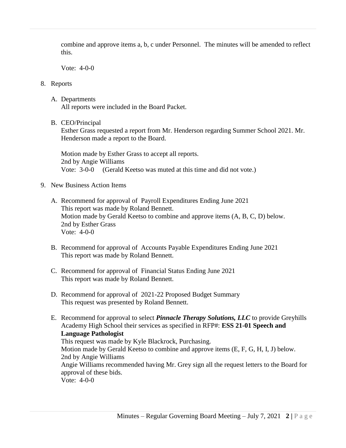combine and approve items a, b, c under Personnel. The minutes will be amended to reflect this.

Vote: 4-0-0

# 8. Reports

- A. Departments All reports were included in the Board Packet.
- B. CEO/Principal

Esther Grass requested a report from Mr. Henderson regarding Summer School 2021. Mr. Henderson made a report to the Board.

Motion made by Esther Grass to accept all reports. 2nd by Angie Williams Vote: 3-0-0 (Gerald Keetso was muted at this time and did not vote.)

- 9. New Business Action Items
	- A. Recommend for approval of Payroll Expenditures Ending June 2021 This report was made by Roland Bennett. Motion made by Gerald Keetso to combine and approve items (A, B, C, D) below. 2nd by Esther Grass Vote: 4-0-0
	- B. Recommend for approval of Accounts Payable Expenditures Ending June 2021 This report was made by Roland Bennett.
	- C. Recommend for approval of Financial Status Ending June 2021 This report was made by Roland Bennett.
	- D. Recommend for approval of 2021-22 Proposed Budget Summary This request was presented by Roland Bennett.
	- E. Recommend for approval to select *Pinnacle Therapy Solutions, LLC* to provide Greyhills Academy High School their services as specified in RFP#: **ESS 21-01 Speech and Language Pathologist** This request was made by Kyle Blackrock, Purchasing. Motion made by Gerald Keetso to combine and approve items (E, F, G, H, I, J) below. 2nd by Angie Williams Angie Williams recommended having Mr. Grey sign all the request letters to the Board for approval of these bids. Vote: 4-0-0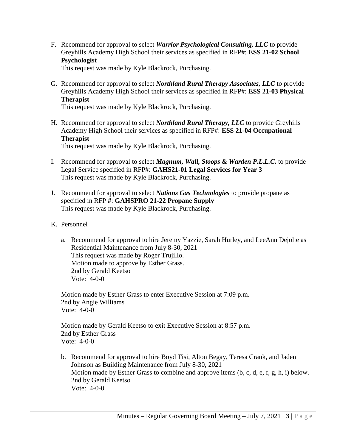F. Recommend for approval to select *Warrior Psychological Consulting, LLC* to provide Greyhills Academy High School their services as specified in RFP#: **ESS 21-02 School Psychologist**

This request was made by Kyle Blackrock, Purchasing.

G. Recommend for approval to select *Northland Rural Therapy Associates, LLC* to provide Greyhills Academy High School their services as specified in RFP#: **ESS 21-03 Physical Therapist**

This request was made by Kyle Blackrock, Purchasing.

H. Recommend for approval to select *Northland Rural Therapy, LLC* to provide Greyhills Academy High School their services as specified in RFP#: **ESS 21-04 Occupational Therapist** This request was made by Kyle Blackrock, Purchasing.

- I. Recommend for approval to select *Magnum, Wall, Stoops & Warden P.L.L.C.* to provide Legal Service specified in RFP#: **GAHS21-01 Legal Services for Year 3** This request was made by Kyle Blackrock, Purchasing.
- J. Recommend for approval to select *Nations Gas Technologies* to provide propane as specified in RFP **#**: **GAHSPRO 21-22 Propane Supply** This request was made by Kyle Blackrock, Purchasing.
- K. Personnel
	- a. Recommend for approval to hire Jeremy Yazzie, Sarah Hurley, and LeeAnn Dejolie as Residential Maintenance from July 8-30, 2021 This request was made by Roger Trujillo. Motion made to approve by Esther Grass. 2nd by Gerald Keetso Vote: 4-0-0

Motion made by Esther Grass to enter Executive Session at 7:09 p.m. 2nd by Angie Williams Vote: 4-0-0

Motion made by Gerald Keetso to exit Executive Session at 8:57 p.m. 2nd by Esther Grass Vote: 4-0-0

b. Recommend for approval to hire Boyd Tisi, Alton Begay, Teresa Crank, and Jaden Johnson as Building Maintenance from July 8-30, 2021 Motion made by Esther Grass to combine and approve items (b, c, d, e, f, g, h, i) below. 2nd by Gerald Keetso Vote: 4-0-0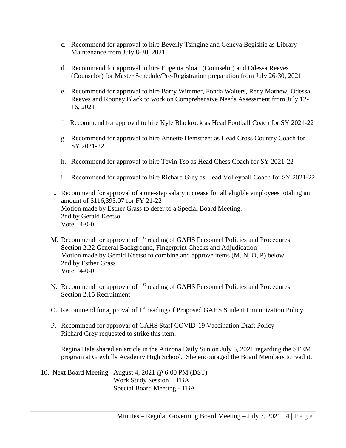- c. Recommend for approval to hire Beverly Tsingine and Geneva Begishie as Library Maintenance from July 8-30, 2021
- d. Recommend for approval to hire Eugenia Sloan (Counselor) and Odessa Reeves (Counselor) for Master Schedule/Pre-Registration preparation from July 26-30, 2021
- e. Recommend for approval to hire Barry Wimmer, Fonda Walters, Reny Mathew, Odessa Reeves and Rooney Black to work on Comprehensive Needs Assessment from July 12- 16, 2021
- f. Recommend for approval to hire Kyle Blackrock as Head Football Coach for SY 2021-22
- g. Recommend for approval to hire Annette Hemstreet as Head Cross Country Coach for SY 2021-22
- h. Recommend for approval to hire Tevin Tso as Head Chess Coach for SY 2021-22
- i. Recommend for approval to hire Richard Grey as Head Volleyball Coach for SY 2021-22
- L. Recommend for approval of a one-step salary increase for all eligible employees totaling an amount of \$116,393.07 for FY 21-22 Motion made by Esther Grass to defer to a Special Board Meeting. 2nd by Gerald Keetso Vote: 4-0-0
- M. Recommend for approval of  $1<sup>st</sup>$  reading of GAHS Personnel Policies and Procedures Section 2.22 General Background, Fingerprint Checks and Adjudication Motion made by Gerald Keetso to combine and approve items (M, N, O, P) below. 2nd by Esther Grass Vote: 4-0-0
- N. Recommend for approval of  $1<sup>st</sup>$  reading of GAHS Personnel Policies and Procedures Section 2.15 Recruitment
- O. Recommend for approval of 1<sup>st</sup> reading of Proposed GAHS Student Immunization Policy
- P. Recommend for approval of GAHS Staff COVID-19 Vaccination Draft Policy Richard Grey requested to strike this item.

Regina Hale shared an article in the Arizona Daily Sun on July 6, 2021 regarding the STEM program at Greyhills Academy High School. She encouraged the Board Members to read it.

10. Next Board Meeting: August 4, 2021 @ 6:00 PM (DST) Work Study Session – TBA Special Board Meeting - TBA